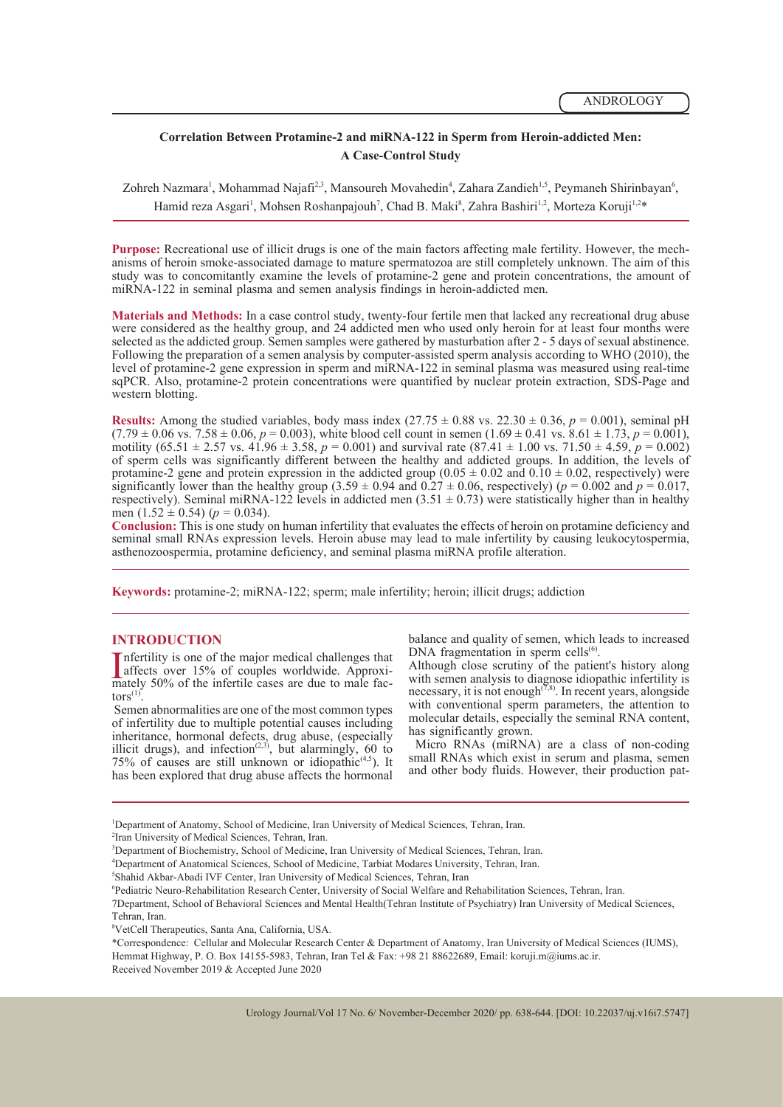## **Correlation Between Protamine-2 and miRNA-122 in Sperm from Heroin-addicted Men: A Case-Control Study**

Zohreh Nazmara<sup>1</sup>, Mohammad Najafi<sup>2,3</sup>, Mansoureh Movahedin<sup>4</sup>, Zahara Zandieh<sup>1,5</sup>, Peymaneh Shirinbayan<sup>6</sup>, Hamid reza Asgari<sup>1</sup>, Mohsen Roshanpajouh<sup>7</sup>, Chad B. Maki<sup>8</sup>, Zahra Bashiri<sup>1,2</sup>, Morteza Koruji<sup>1,2</sup>\*

**Purpose:** Recreational use of illicit drugs is one of the main factors affecting male fertility. However, the mechanisms of heroin smoke-associated damage to mature spermatozoa are still completely unknown. The aim of thi study was to concomitantly examine the levels of protamine-2 gene and protein concentrations, the amount of miRNA-122 in seminal plasma and semen analysis findings in heroin-addicted men.

**Materials and Methods:** In a case control study, twenty-four fertile men that lacked any recreational drug abuse were considered as the healthy group, and 24 addicted men who used only heroin for at least four months were selected as the addicted group. Semen samples were gathered by masturbation after 2 - 5 days of sexual abstinence. Following the preparation of a semen analysis by computer-assisted sperm analysis according to WHO (2010), the level of protamine-2 gene expression in sperm and miRNA-122 in seminal plasma was measured using real-time sqPCR. Also, protamine-2 protein concentrations were quantified by nuclear protein extraction, SDS-Page and western blotting.

**Results:** Among the studied variables, body mass index  $(27.75 \pm 0.88 \text{ vs. } 22.30 \pm 0.36, p = 0.001)$ , seminal pH  $(7.79 \pm 0.06 \text{ vs. } 7.58 \pm 0.06, p = 0.003)$ , white blood cell count in semen  $(1.69 \pm 0.41 \text{ vs. } 8.61 \pm 1.73, p = 0.001)$ , motility (65.51  $\pm$  2.57 vs. 41.96  $\pm$  3.58, *p* = 0.001) and survival rate (87.41  $\pm$  1.00 vs. 71.50  $\pm$  4.59, *p* = 0.002) of sperm cells was significantly different between the healthy and addicted groups. In addition, the levels of protamine-2 gene and protein expression in the addicted group  $(0.05 \pm 0.02$  and  $0.10 \pm 0.02$ , respectively) were significantly lower than the healthy group (3.59  $\pm$  0.94 and 0.27  $\pm$  0.06, respectively) ( $p = 0.002$  and  $p = 0.017$ , respectively). Seminal miRNA-122 levels in addicted men  $(3.51 \pm 0.73)$  were statistically higher than in healthy men  $(1.52 \pm 0.54)$  ( $p = 0.034$ ).

**Conclusion:** This is one study on human infertility that evaluates the effects of heroin on protamine deficiency and seminal small RNAs expression levels. Heroin abuse may lead to male infertility by causing leukocytospermia, asthenozoospermia, protamine deficiency, and seminal plasma miRNA profile alteration.

**Keywords:** protamine-2; miRNA-122; sperm; male infertility; heroin; illicit drugs; addiction

#### **INTRODUCTION**

I<sub>m</sub> Infertility is one of the major medical challenges that affects over 15% of couples worldwide. Approxiaffects over 15% of couples worldwide. Approximately 50% of the infertile cases are due to male fac-<br>tors<sup>(1)</sup>. Semen abnormalities are one of the most common types

of infertility due to multiple potential causes including inheritance, hormonal defects, drug abuse, (especially illicit drugs), and infection<sup> $(2,3)$ </sup>, but alarmingly, 60 to 75% of causes are still unknown or idiopathic $(4,5)$ . It has been explored that drug abuse affects the hormonal

balance and quality of semen, which leads to increased DNA fragmentation in sperm cells<sup>(6)</sup>.

Although close scrutiny of the patient's history along with semen analysis to diagnose idiopathic infertility is necessary, it is not enough<sup> $(7,8)$ </sup>. In recent years, alongside with conventional sperm parameters, the attention to molecular details, especially the seminal RNA content, has significantly grown.

 Micro RNAs (miRNA) are a class of non-coding small RNAs which exist in serum and plasma, semen and other body fluids. However, their production pat-

1 Department of Anatomy, School of Medicine, Iran University of Medical Sciences, Tehran, Iran.

4 Department of Anatomical Sciences, School of Medicine, Tarbiat Modares University, Tehran, Iran.

6 Pediatric Neuro-Rehabilitation Research Center, University of Social Welfare and Rehabilitation Sciences, Tehran, Iran.

7Department, School of Behavioral Sciences and Mental Health(Tehran Institute of Psychiatry) Iran University of Medical Sciences, Tehran, Iran.

<sup>2</sup> Iran University of Medical Sciences, Tehran, Iran.

<sup>3</sup> Department of Biochemistry, School of Medicine, Iran University of Medical Sciences, Tehran, Iran.

<sup>5</sup> Shahid Akbar-Abadi IVF Center, Iran University of Medical Sciences, Tehran, Iran

<sup>8</sup> VetCell Therapeutics, Santa Ana, California, USA.

<sup>\*</sup>Correspondence: Cellular and Molecular Research Center & Department of Anatomy, Iran University of Medical Sciences (IUMS), Hemmat Highway, P. O. Box 14155-5983, Tehran, Iran Tel & Fax: +98 21 88622689, Email: koruji.m@iums.ac.ir. Received November 2019 & Accepted June 2020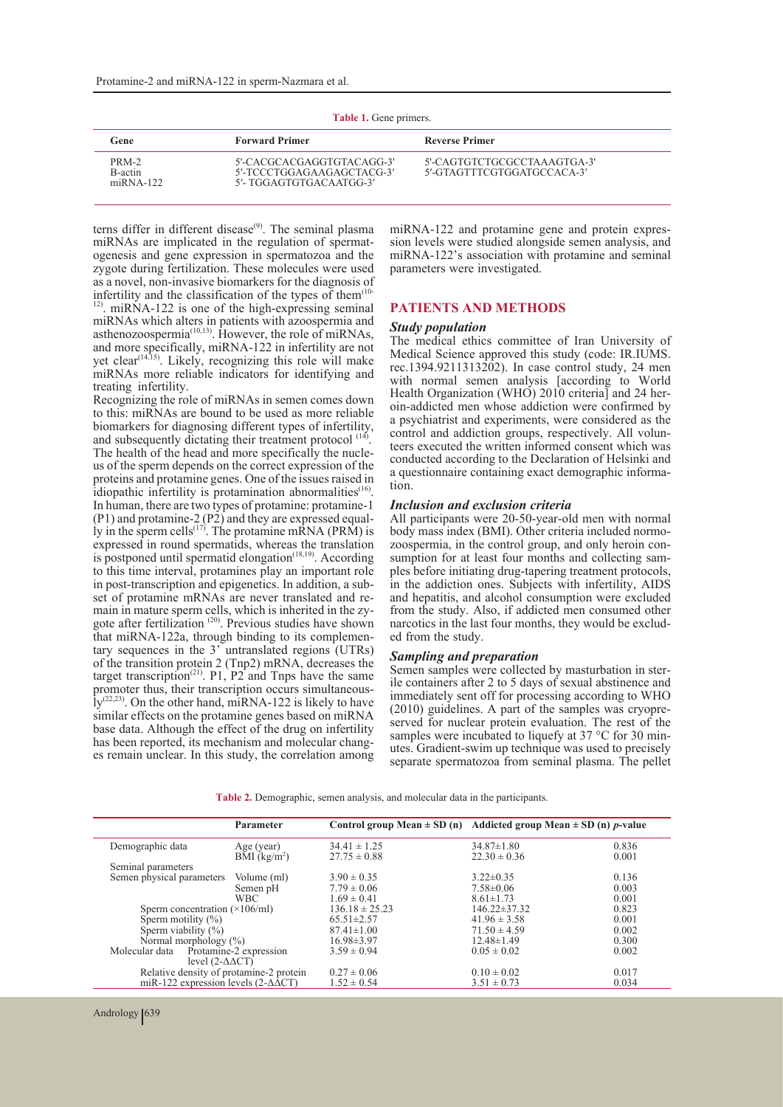| Table 1. Gene primers. |
|------------------------|
|                        |

| <b>LADIC 1.</b> OCHE DIMICIS.         |                                                                                   |                                                           |  |  |
|---------------------------------------|-----------------------------------------------------------------------------------|-----------------------------------------------------------|--|--|
| Gene                                  | <b>Forward Primer</b>                                                             | <b>Reverse Primer</b>                                     |  |  |
| PRM-2<br>B-actin<br>$m\ddot{R}NA-122$ | 5'-CACGCACGAGGTGTACAGG-3'<br>5'-TCCCTGGAGAAGAGCTACG-3'<br>5'- TGGAGTGTGACAATGG-3' | 5'-CAGTGTCTGCGCCTAAAGTGA-3'<br>5'-GTAGTTTCGTGGATGCCACA-3' |  |  |

terns differ in different disease<sup>(9)</sup>. The seminal plasma miRNAs are implicated in the regulation of spermat-<br>ogenesis and gene expression in spermatozoa and the zygote during fertilization. These molecules were used as a novel, non-invasive biomarkers for the diagnosis of infertility and the classification of the types of them<sup> $(10)$ </sup>

<sup>12)</sup>. miRNA-122 is one of the high-expressing seminal miRNAs which alters in patients with azoospermia and asthenozoospermia $^{(10,13)}$ . However, the role of miRNAs, and more specifically, miRNA-122 in infertility are not yet clear<sup>(14,15)</sup>. Likely, recognizing this role will make miRNAs more reliable indicators for identifying and treating infertility.

Recognizing the role of miRNAs in semen comes down to this: miRNAs are bound to be used as more reliable biomarkers for diagnosing different types of infertility, and subsequently dictating their treatment protocol  $(14)$ . The health of the head and more specifically the nucle-<br>us of the sperm depends on the correct expression of the proteins and protamine genes. One of the issues raised in idiopathic infertility is protamination abnormalities<sup>(16)</sup>. In human, there are two types of protamine: protamine-1 (P1) and protamine-2 (P2) and they are expressed equal-<br>ly in the sperm cells<sup>(17)</sup>. The protamine mRNA (PRM) is expressed in round spermatids, whereas the translation is postponed until spermatid elongation<sup>(18,19)</sup>. According to this time interval, protamines play an important role in post-transcription and epigenetics. In addition, a subset of protamine mRNAs are never translated and re-<br>main in mature sperm cells, which is inherited in the zy-<br>gote after fertilization  $^{(20)}$ . Previous studies have shown<br>that miRNA-122a, through binding to its complemen tary sequences in the  $3'$  untranslated regions (UTRs) of the transition protein 2 (Tnp2) mRNA, decreases the target transcription<sup>(21)</sup>. P1, P2<sup> $\degree$ </sup> and Tnps have the same promoter thus, their transcription occurs simultaneous- $Iy^{(22,23)}$ . On the other hand, miRNA-122 is likely to have similar effects on the protamine genes based on miRNA base data. Although the effect of the drug on infertility has been reported, its mechanism and molecular changes remain unclear. In this study, the correlation among miRNA-122 and protamine gene and protein expres- sion levels were studied alongside semen analysis, and miRNA-122's association with protamine and seminal parameters were investigated.

#### **PATIENTS AND METHODS**

#### *Study population*

The medical ethics committee of Iran University of Medical Science approved this study (code: IR.IUMS. rec.1394.9211313202). In case control study, 24 men with normal semen analysis [according to World Health Organization (WHO) 2010 criteria] and 24 heroin-addicted men whose addiction were confirmed by a psychiatrist and experiments, were considered as the teers executed the written informed consent which was conducted according to the Declaration of Helsinki and a questionnaire containing exact demographic informa- tion.

#### *Inclusion and exclusion criteria*

All participants were 20-50-year-old men with normal body mass index (BMI). Other criteria included normozoospermia, in the control group, and only heroin con-<br>sumption for at least four months and collecting sam-<br>ples before initiating drug-tapering treatment protocols, in the addiction ones. Subjects with infertility, AIDS and hepatitis, and alcohol consumption were excluded from the study. Also, if addicted men consumed other narcotics in the last four months, they would be exclud- ed from the study.

*Sampling and preparation* ile containers after 2 to 5 days of sexual abstinence and immediately sent off for processing according to WHO (2010) guidelines. A part of the samples was cryopre- served for nuclear protein evaluation. The rest of the samples were incubated to liquefy at 37 °C for 30 min-<br>utes. Gradient-swim up technique was used to precisely separate spermatozoa from seminal plasma. The pellet

**Table 2.** Demographic, semen analysis, and molecular data in the participants.

|                                                                      | Parameter                                                  |                                      | Control group Mean $\pm$ SD (n) Addicted group Mean $\pm$ SD (n) p-value |                |
|----------------------------------------------------------------------|------------------------------------------------------------|--------------------------------------|--------------------------------------------------------------------------|----------------|
| Demographic data                                                     | Age (year)<br>$\overline{\text{BMI}}$ (kg/m <sup>2</sup> ) | $34.41 \pm 1.25$<br>$27.75 \pm 0.88$ | $34.87 \pm 1.80$<br>$22.30 \pm 0.36$                                     | 0.836<br>0.001 |
| Seminal parameters                                                   |                                                            |                                      |                                                                          |                |
| Semen physical parameters                                            | Volume (ml)                                                | $3.90 \pm 0.35$                      | $3.22 \pm 0.35$                                                          | 0.136          |
|                                                                      | Semen pH                                                   | $7.79 \pm 0.06$                      | $7.58 \pm 0.06$                                                          | 0.003          |
|                                                                      | <b>WBC</b>                                                 | $1.69 \pm 0.41$                      | $8.61 \pm 1.73$                                                          | 0.001          |
| Sperm concentration $(\times 106$ /ml)                               |                                                            | $136.18 \pm 25.23$                   | $146.22 \pm 37.32$                                                       | 0.823          |
| Sperm motility $(\%)$                                                |                                                            | $65.51 \pm 2.57$                     | $41.96 \pm 3.58$                                                         | 0.001          |
| Sperm viability $(\%)$                                               |                                                            | $87.41 \pm 1.00$                     | $71.50 \pm 4.59$                                                         | 0.002          |
| Normal morphology $(\%)$                                             |                                                            | $16.98 \pm 3.97$                     | $12.48 \pm 1.49$                                                         | 0.300          |
| Molecular data Protamine-2 expression<br>level $(2-\Delta\Delta CT)$ |                                                            | $3.59 \pm 0.94$                      | $0.05 \pm 0.02$                                                          | 0.002          |
| Relative density of protamine-2 protein                              |                                                            | $0.27 \pm 0.06$                      | $0.10 \pm 0.02$                                                          | 0.017          |
| miR-122 expression levels $(2-\Delta\overline{\Delta}CT)$            |                                                            | $1.52 \pm 0.54$                      | $3.51 \pm 0.73$                                                          | 0.034          |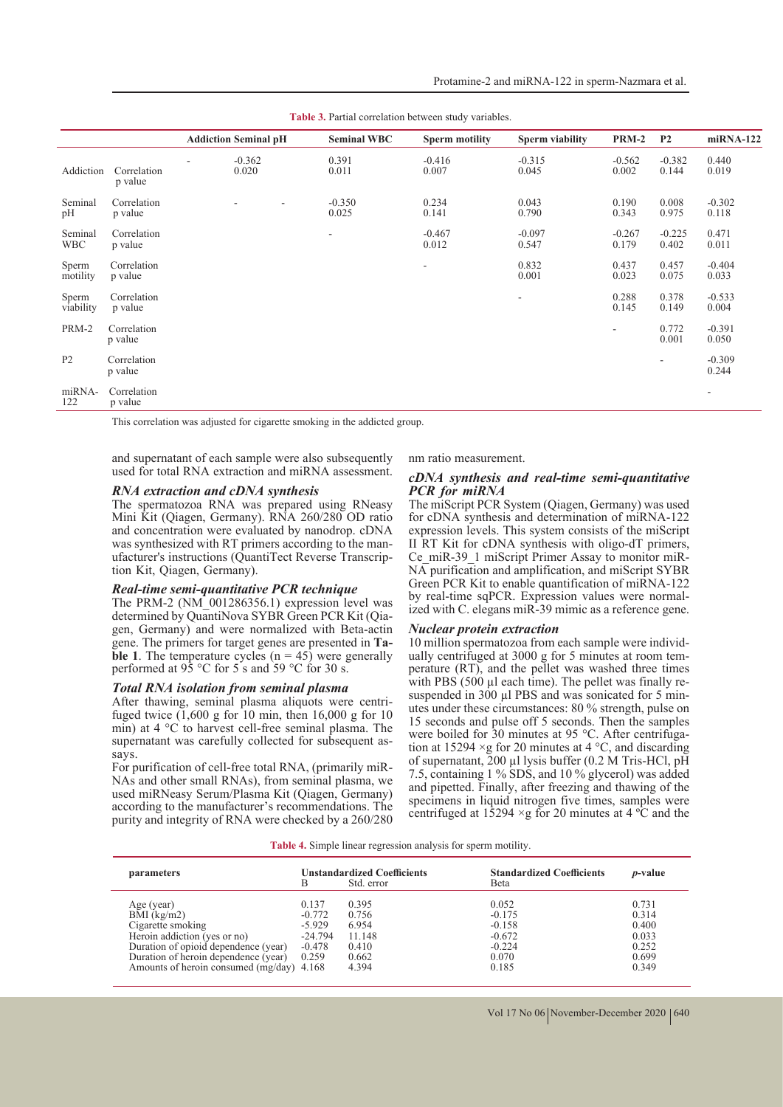|                       |                        | <b>Addiction Seminal pH</b> | <b>Seminal WBC</b>       | <b>Sperm motility</b>    | Sperm viability          | <b>PRM-2</b>             | P <sub>2</sub>    | miRNA-122                |
|-----------------------|------------------------|-----------------------------|--------------------------|--------------------------|--------------------------|--------------------------|-------------------|--------------------------|
| Addiction             | Correlation<br>p value | $-0.362$<br>0.020           | 0.391<br>0.011           | $-0.416$<br>0.007        | $-0.315$<br>0.045        | $-0.562$<br>0.002        | $-0.382$<br>0.144 | 0.440<br>0.019           |
| Seminal<br>pH         | Correlation<br>p value | ٠<br>$\sim$                 | $-0.350$<br>0.025        | 0.234<br>0.141           | 0.043<br>0.790           | 0.190<br>0.343           | 0.008<br>0.975    | $-0.302$<br>0.118        |
| Seminal<br><b>WBC</b> | Correlation<br>p value |                             | $\overline{\phantom{a}}$ | $-0.467$<br>0.012        | $-0.097$<br>0.547        | $-0.267$<br>0.179        | $-0.225$<br>0.402 | 0.471<br>0.011           |
| Sperm<br>motility     | Correlation<br>p value |                             |                          | $\overline{\phantom{a}}$ | 0.832<br>0.001           | 0.437<br>0.023           | 0.457<br>0.075    | $-0.404$<br>0.033        |
| Sperm<br>viability    | Correlation<br>p value |                             |                          |                          | $\overline{\phantom{a}}$ | 0.288<br>0.145           | 0.378<br>0.149    | $-0.533$<br>0.004        |
| PRM-2                 | Correlation<br>p value |                             |                          |                          |                          | $\overline{\phantom{a}}$ | 0.772<br>0.001    | $-0.391$<br>0.050        |
| P <sub>2</sub>        | Correlation<br>p value |                             |                          |                          |                          |                          | $\sim$            | $-0.309$<br>0.244        |
| miRNA-<br>122         | Correlation<br>p value |                             |                          |                          |                          |                          |                   | $\overline{\phantom{a}}$ |

Table 3. Partial correlation between study variables.

This correlation was adjusted for cigarette smoking in the addicted group.

and supernatant of each sample were also subsequently used for total RNA extraction and miRNA assessment.

#### *RNA extraction and cDNA synthesis*

The spermatozoa RNA was prepared using RNeasy Mini Kit (Qiagen, Germany). RNA 260/280 OD ratio and concentration were evaluated by nanodrop. cDNA was synthesized with RT primers according to the man-<br>ufacturer's instructions (QuantiTect Reverse Transcrip-<br>tion Kit, Qiagen, Germany).

#### *Real-time semi-quantitative PCR technique*

The PRM-2 (NM\_001286356.1) expression level was determined by OuantiNova SYBR Green PCR Kit (Oiagen, Germany) and were normalized with Beta-actin gene. The primers for target genes are presented in **Ta- ble 1**. The temperature cycles (n = 45) were generally performed at  $95^{\circ}$ C for 5 s and 59 °C for 30 s.

#### *Total RNA isolation from seminal plasma*

After thawing, seminal plasma aliquots were centri-<br>fuged twice  $(1,600 \text{ g}$  for 10 min, then 16,000 g for 10 min) at 4 °C to harvest cell-free seminal plasma. The supernatant was carefully collected for subsequent as-<br>says.<br>For purification of cell-free total RNA, (primarily miR-

NAs and other small RNAs), from seminal plasma, we used miRNeasy Serum/Plasma Kit (Qiagen, Germany) according to the manufacturer's recommendations. The purity and integrity of RNA were checked by a 260/280

#### nm ratio measurement.

#### *cDNA synthesis and real-time semi-quantitative PCR for miRNA*

The miScript PCR System (Qiagen, Germany) was used for cDNA synthesis and determination of miRNA-122 expression levels. This system consists of the miScript II RT Kit for cDNA synthesis with oligo-dT primers,<br>Ce miR-39 1 miScript Primer Assay to monitor miR-NA purification and amplification, and miScript SYBR Green PCR Kit to enable quantification of miRNA-122 by real-time sqPCR. Expression values were normalized with C. elegans miR-39 mimic as a reference gene.

*Nuclear protein extraction* ually centrifuged at 3000 g for 5 minutes at room tem-<br>perature (RT), and the pellet was washed three times<br>with PBS (500  $\mu$ l each time). The pellet was finally resuspended in 300  $\mu$ l PBS and was sonicated for 5 min-<br>utes under these circumstances: 80 % strength, pulse on 15 seconds and pulse off 5 seconds. Then the samples were boiled for 30 minutes at 95 °C. After centrifugation at 15294  $\times$ g for 20 minutes at 4 °C, and discarding of supernatant, 200 µl lysis buffer (0.2 M Tris-HCl, pH 7.5, containing 1 % SDS, and 10 % glycerol) was added and pipetted. Finally, after freezing and thawing of the specimens in liquid nitrogen five times, samples were centrifuged at  $1\overline{5}294 \times g$  for 20 minutes at 4 °C and the

**Table 4.** Simple linear regression analysis for sperm motility.

| parameters                                                                                                                                                                                                    | В                                                               | <b>Unstandardized Coefficients</b><br>Std. error             | <b>Standardized Coefficients</b><br>Beta                                | <i>p</i> -value                                             |
|---------------------------------------------------------------------------------------------------------------------------------------------------------------------------------------------------------------|-----------------------------------------------------------------|--------------------------------------------------------------|-------------------------------------------------------------------------|-------------------------------------------------------------|
| Age (year)<br>$BMI$ (kg/m2)<br>Cigarette smoking<br>Heroin addiction (yes or no)<br>Duration of opioid dependence (year)<br>Duration of heroin dependence (year)<br>Amounts of heroin consumed (mg/day) 4.168 | 0.137<br>$-0.772$<br>$-5.929$<br>$-24.794$<br>$-0.478$<br>0.259 | 0.395<br>0.756<br>6.954<br>11.148<br>0.410<br>0.662<br>4.394 | 0.052<br>$-0.175$<br>$-0.158$<br>$-0.672$<br>$-0.224$<br>0.070<br>0.185 | 0.731<br>0.314<br>0.400<br>0.033<br>0.252<br>0.699<br>0.349 |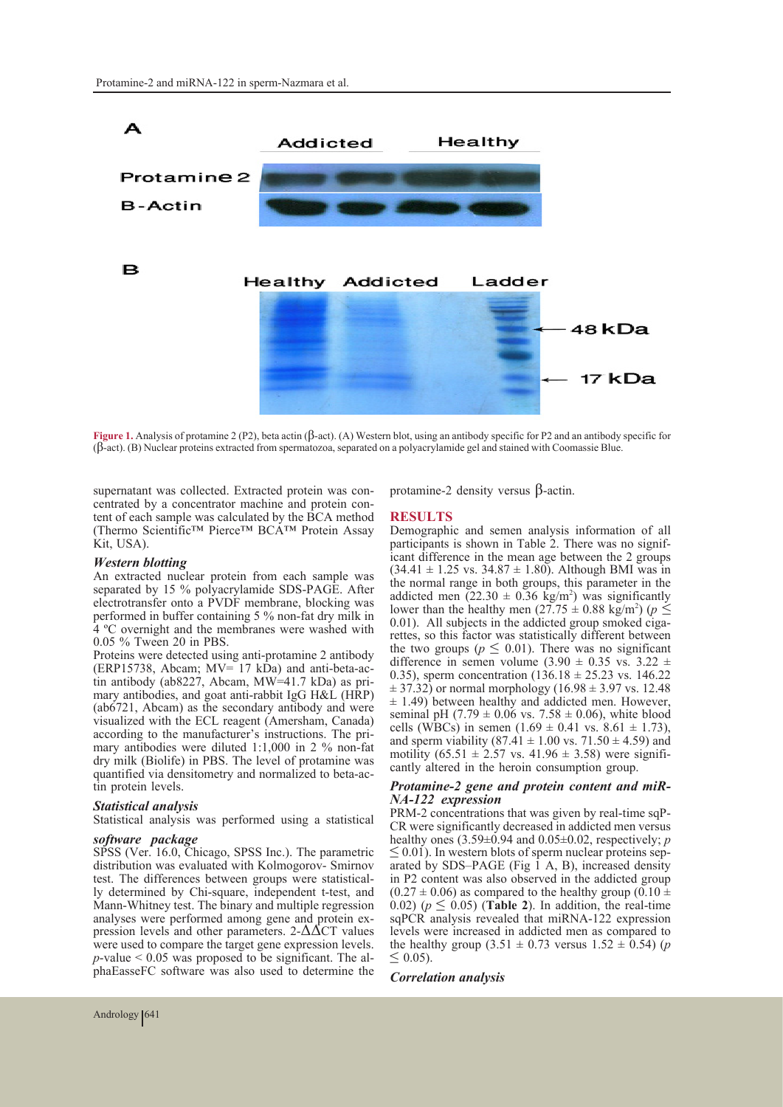

**Figure 1.** Analysis of protamine 2 (P2), beta actin (β-act). (A) Western blot, using an antibody specific for P2 and an antibody specific for (β-act). (B) Nuclear proteins extracted from spermatozoa, separated on a polyacrylamide gel and stained with Coomassie Blue.

supernatant was collected. Extracted protein was concentrated by a concentrator machine and protein content of each sample was calculated by the BCA method (Thermo Scientific™ Pierce™ BCA™ Protein Assay Kit, USA).

#### *Western blotting*

An extracted nuclear protein from each sample was separated by 15 % polyacrylamide SDS-PAGE. After electrotransfer onto a PVDF membrane, blocking was performed in buffer containing 5 % non-fat dry milk in 4 ºC overnight and the membranes were washed with 0.05 % Tween 20 in PBS.

Proteins were detected using anti-protamine 2 antibody (ERP15738, Abcam: MV= 17 kDa) and anti-beta-actin antibody (ab8227, Abcam, MW=41.7 kDa) as pri- mary antibodies, and goat anti-rabbit IgG H&L (HRP) (ab6721, Abcam) as the secondary antibody and were visualized with the ECL reagent (Amersham, Canada) mary antibodies were diluted 1:1,000 in 2 % non-fat dry milk (Biolife) in PBS. The level of protamine was quantified via densitometry and normalized to beta-ac- tin protein levels.

#### *Statistical analysis*

Statistical analysis was performed using a statistical

#### *software package*

SPSS (Ver. 16.0, Chicago, SPSS Inc.). The parametric distribution was evaluated with Kolmogorov- Smirnov test. The differences between groups were statistical- ly determined by Chi-square, independent t-test, and Mann-Whitney test. The binary and multiple regression analyses were performed among gene and protein expression levels and other parameters.  $2-\Delta\Delta CT$  values were used to compare the target gene expression levels.<br> $p$ -value < 0.05 was proposed to be significant. The alphaEasseFC software was also used to determine the

protamine-2 density versus β-actin.

#### **RESULTS**

Demographic and semen analysis information of all participants is shown in Table 2. There was no significant difference in the mean age between the 2 groups  $(34.41 \pm 1.25 \text{ vs. } 34.87 \pm 1.80)$ . Although BMI was in the normal range in both groups, this parameter in the addicted men  $(22.30 \pm 0.36 \text{ kg/m}^2)$  was significantly lower than the healthy men  $(27.75 \pm 0.88 \text{ kg/m}^2)$  ( $p \le$ 0.01). All subjects in the addicted group smoked cigarittes, so this factor was statistically different between the two groups ( $p \leq 0.01$ ). There was no significant difference in semen volume (3.90  $\pm$  0.35 vs. 3.22  $\pm$ 0.35), sperm concentration  $(136.18 \pm 25.23 \text{ vs. } 146.22)$  $\pm$  37.32) or normal morphology (16.98  $\pm$  3.97 vs. 12.48  $\pm$  1.49) between healthy and addicted men. However, seminal pH (7.79  $\pm$  0.06 vs. 7.58  $\pm$  0.06), white blood cells (WBCs) in semen  $(1.69 \pm 0.41 \text{ vs. } 8.61 \pm 1.73)$ , and sperm viability (87.41  $\pm$  1.00 vs. 71.50  $\pm$  4.59) and motility (65.51  $\pm$  2.57 vs. 41.96  $\pm$  3.58) were significantly altered in the heroin consumption group.

# *Protamine-2 gene and protein content and miR- NA-122 expression*

CR were significantly decreased in addicted men versus healthy ones  $(3.59\pm0.94$  and  $0.05\pm0.02$ , respectively; *p* < 0.01). In western blots of sperm nuclear proteins separated by SDS–PAGE (Fig  $\overline{1}$  A, B), increased density in P2 content was also observed in the addicted group  $(0.27 \pm 0.06)$  as compared to the healthy group  $(0.10 \pm 0.06)$ 0.02) ( $p \leq 0.05$ ) (**Table 2**). In addition, the real-time sqPCR analysis revealed that miRNA-122 expression levels were increased in addicted men as compared to the healthy group  $(3.51 \pm 0.73 \text{ versus } 1.52 \pm 0.54)$  (*p*  $\leq 0.05$ ).

#### *Correlation analysis*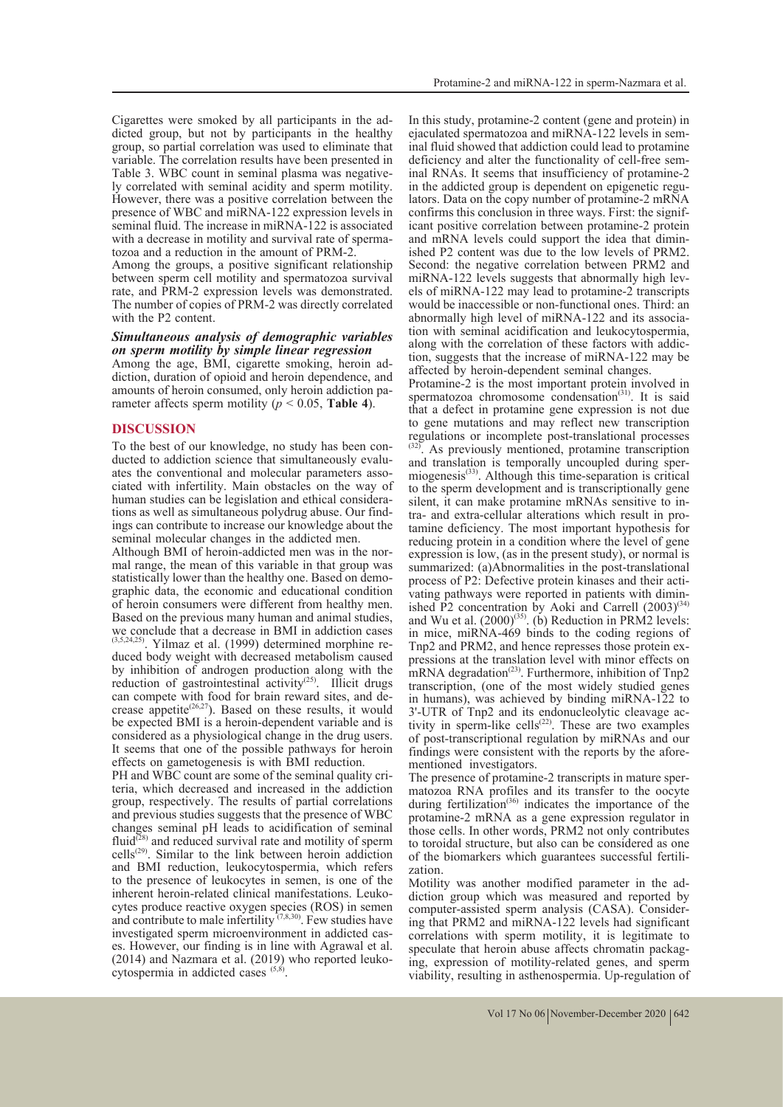Cigarettes were smoked by all participants in the ad- dicted group, but not by participants in the healthy group, so partial correlation was used to eliminate that variable. The correlation results have been presented in ly correlated with seminal acidity and sperm motility. However, there was a positive correlation between the presence of WBC and miRNA-122 expression levels in seminal fluid. The increase in miRNA-122 is associated

with a decrease in motility and survival rate of sperma- tozoa and a reduction in the amount of PRM-2. Among the groups, a positive significant relationship between sperm cell motility and spermatozoa survival rate, and PRM-2 expression levels was demonstrated. The number of copies of PRM-2 was directly correlated with the P2 content.

## *Simultaneous analysis of demographic variables on sperm motility by simple linear regression*

diction, duration of opioid and heroin dependence, and amounts of heroin consumed, only heroin addiction parameter affects sperm motility ( $p < 0.05$ , **Table 4**).

#### **DISCUSSION**

To the best of our knowledge, no study has been con-<br>ducted to addiction science that simultaneously evalu-<br>ates the conventional and molecular parameters asso-<br>ciated with infertility. Main obstacles on the way of<br>human s tions as well as simultaneous polydrug abuse. Our find-<br>ings can contribute to increase our knowledge about the seminal molecular changes in the addicted men.

Although BMI of heroin-addicted men was in the nor-<br>mal range, the mean of this variable in that group was<br>statistically lower than the healthy one. Based on demographic data, the economic and educational condition of heroin consumers were different from healthy men. Based on the previous many human and animal studies, we conclude that a decrease in BMI in addiction cases  $(3,5,24,25)$ . Yilmaz et al. (1999) determined morphine reduced body weight with decreased metabolism caused by inhibition of androgen production along with the reduction of gastrointestinal activity<sup>(25)</sup>. Illicit drugs can compete with food for brain reward sites, and decrease appetite<sup>(26,27</sup>). Based on these results, it would be expected BMI is a heroin-dependent variable and is considered as a physiological change in the drug users. It seems that one of the possible pathways for heroin

effects on gametogenesis is with BMI reduction. PH and WBC count are some of the seminal quality cri- teria, which decreased and increased in the addiction group, respectively. The results of partial correlations and previous studies suggests that the presence of WBC changes seminal pH leads to acidification of seminal  $fluid<sup>(28)</sup>$  and reduced survival rate and motility of sperm  $f_{(28)}^{(28)}$  and reduced survival rate and motility of sperm  $cells<sup>(29)</sup>$ . Similar to the link between heroin addiction and BMI reduction, leukocytospermia, which refers to the presence of leukocytes in semen, is one of the inherent heroin-related clinical manifestations. Leuko-cytes produce reactive oxygen species (ROS) in semen and contribute to male infertility  $(7,8,30)$ . Few studies have investigated sperm microenvironment in addicted cases. However, our finding is in line with Agrawal et al. (2014) and Nazmara et al. (2019) who reported leuko-cytospermia in addicted cases  $(5,8)$ .

In this study, protamine-2 content (gene and protein) in ejaculated spermatozoa and miRNA-122 levels in sem-<br>inal fluid showed that addiction could lead to protamine<br>deficiency and alter the functionality of cell-free seminal RNAs. It seems that insufficiency of protamine-2 in the addicted group is dependent on epigenetic regulators. Data on the copy number of protamine-2 mRNA confirms this conclusion in three ways. First: the significant positive correlation between protamine-2 protein<br>and mRNA levels could support the idea that diminished P2 content was due to the low levels of PRM2. Second: the negative correlation between PRM2 and miRNA-122 levels suggests that abnormally high levels of miRNA-122 may lead to protamine-2 transcripts would be inaccessible or non-functional ones. Third: an abnormally high level of miRNA-122 and its association with seminal acidification and leukocytospermia, along with the correlation of these factors with addiction, suggests that the increase of miRNA-122 may be affected by heroin-dependent seminal changes.

Protamine-2 is the most important protein involved in spermatozoa chromosome condensation<sup>(31)</sup>. It is said that a defect in protamine gene expression is not due to gene mutations and may reflect new transcription regulations or incomplete post-translational processes (32). As previously mentioned, protamine transcription and translation is temporally uncoupled during sper-<br>miogenesis<sup>(33)</sup>. Although this time-separation is critical to the sperm development and is transcriptionally gene silent, it can make protamine mRNAs sensitive to intra- and extra-cellular alterations which result in pro-<br>tamine deficiency. The most important hypothesis for reducing protein in a condition where the level of gene expression is low, (as in the present study), or normal is summarized: (a)Abnormalities in the post-translational process of P2: Defective protein kinases and their activating pathways were reported in patients with dimin-<br>ished P2 concentration by Aoki and Carrell  $(2003)^{(34)}$ and Wu et al.  $(2000)^{(35)}$ . (b) Reduction in PRM2 levels: in mice, miRNA-469 binds to the coding regions of Tnp2 and PRM2, and hence represses those protein ex- pressions at the translation level with minor effects on mRNA degradation<sup>(23)</sup>. Furthermore, inhibition of Tnp2 transcription, (one of the most widely studied genes in humans), was achieved by binding miRNA-122 to 3'-UTR of Tnp2 and its endonucleolytic cleavage activity in sperm-like cells<sup>(22)</sup>. These are two examples of post-transcriptional regulation by miRNAs and our findings were consistent with the reports by the afore-<br>mentioned investigators.<br>The presence of protamine-2 transcripts in mature sper-

matozoa RNA profiles and its transfer to the oocyte during fertilization<sup>(36)</sup> indicates the importance of the protamine-2 mRNA as a gene expression regulator in those cells. In other words, PRM2 not only contributes to toroidal structure, but also can be considered as one of the biomarkers which guarantees successful fertili- zation.

Motility was another modified parameter in the addiction group which was measured and reported by computer-assisted sperm analysis (CASA). Considering that PRM2 and miRNA-122 levels had significant correlations with sperm motility, it is legitimate to speculate that heroin abuse affects chromatin packaging, expression of motility-related genes, and sperm viability, resulting in asthenospermia. Up-regulation of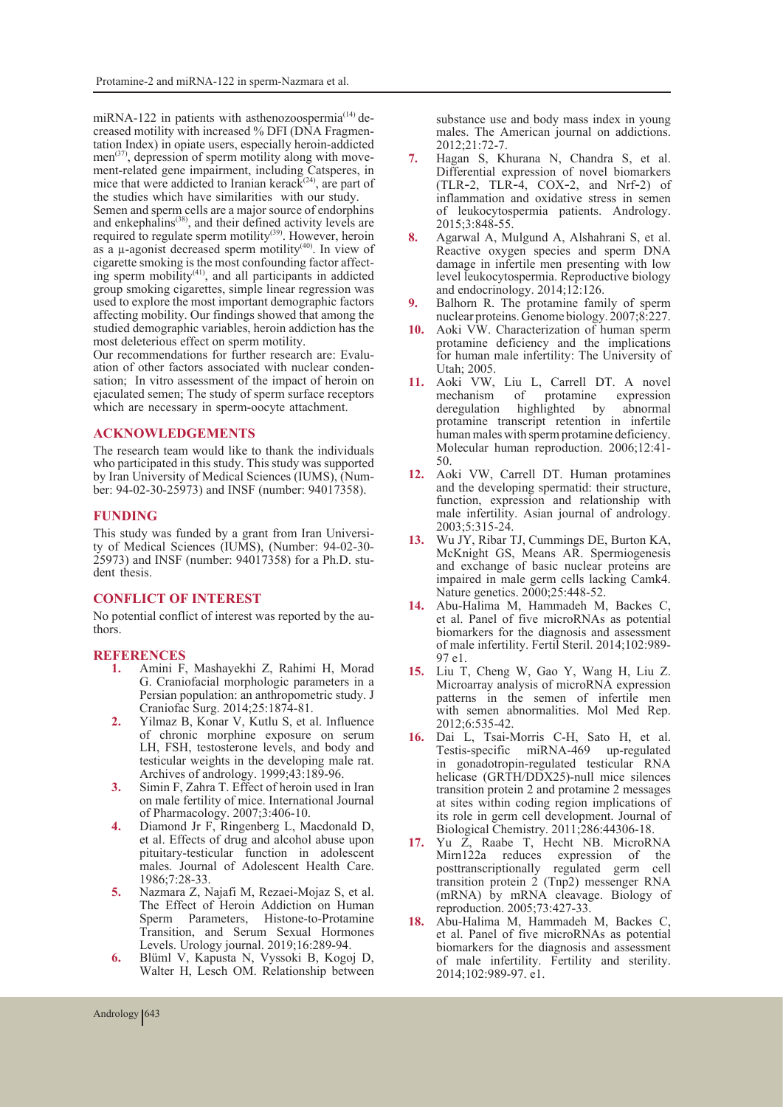miRNA-122 in patients with asthenozoospermia<sup>(14)</sup> de-<br>creased motility with increased % DFI (DNA Fragmen-<br>tation Index) in opiate users, especially heroin-addicted<br>men<sup>(37)</sup>, depression of sperm motility along with movemen<sup>(37)</sup>, depression of sperm motility along with move-<br>ment-related gene impairment, including Catsperes, in mice that were addicted to Iranian kerack<sup>(24)</sup>, are part of the studies which have similarities with our study.

Semen and sperm cells are a major source of endorphins and enkephalins<sup>(38)</sup>, and their defined activity levels are required to regulate sperm motility<sup>(39)</sup>. However, heroin as a  $\mu$ -agonist decreased sperm motility<sup>(40)</sup>. In view of cigarette smoking is the most confounding factor affecting sperm mobility<sup>(41)</sup>, and all participants in addicted group smoking cigarettes, simple linear regression was used to explore the most important demographic factors affecting mobility. Our findings showed that among the studied demographic variables, heroin addiction has the most deleterious effect on sperm motility.<br>Our recommendations for further research are: Evalu-

ation of other factors associated with nuclear condensation; In vitro assessment of the impact of heroin on ejaculated semen; The study of sperm surface receptors which are necessary in sperm-oocyte attachment.

#### **ACKNOWLEDGEMENTS**

The research team would like to thank the individuals who participated in this study. This study was supported by Iran University of Medical Sciences (IUMS), (Number: 94-02-30-25973) and INSF (number: 94017358).

#### **FUNDING**

This study was funded by a grant from Iran Universi- ty of Medical Sciences (IUMS), (Number: 94-02-30- 25973) and INSF (number: 94017358) for a Ph.D. stu- dent thesis.

### **CONFLICT OF INTEREST**

No potential conflict of interest was reported by the au- thors.

# **REFERENCES**<br>1. Amini F.

- **1.** Amini F, Mashayekhi Z, Rahimi H, Morad G. Craniofacial morphologic parameters in a Persian population: an anthropometric study. J Craniofac Surg. 2014;25:1874-81.
- **2.** Yilmaz B, Konar V, Kutlu S, et al. Influence of chronic morphine exposure on serum LH, FSH, testosterone levels, and body and testicular weights in the developing male rat. Archives of andrology. 1999;43:189-96.
- **3.** Simin F, Zahra T. Effect of heroin used in Iran on male fertility of mice. International Journal of Pharmacology. 2007;3:406-10.
- **4.** Diamond Jr F, Ringenberg L, Macdonald D, et al. Effects of drug and alcohol abuse upon pituitary-testicular function in adolescent males. Journal of Adolescent Health Care. 1986;7:28-33.
- **5.** Nazmara Z, Najafi M, Rezaei-Mojaz S, et al. The Effect of Heroin Addiction on Human Sperm Parameters, Histone-to-Protamine Transition, and Serum Sexual Hormones Levels. Urology journal. 2019;16:289-94.
- **6.** Blüml V, Kapusta N, Vyssoki B, Kogoj D, Walter H, Lesch OM. Relationship between

substance use and body mass index in young males. The American journal on addictions. 2012;21:72-7.

- **7.** Hagan S, Khurana N, Chandra S, et al. Differential expression of novel biomarkers (TLR‐2, TLR‐4, COX‐2, and Nrf‐2) of inflammation and oxidative stress in semen of leukocytospermia patients. Andrology. 2015;3:848-55.
- **8.** Agarwal A, Mulgund A, Alshahrani S, et al. Reactive oxygen species and sperm DNA damage in infertile men presenting with low level leukocytospermia. Reproductive biology and endocrinology. 2014;12:126.
- **9.** Balhorn R. The protamine family of sperm nuclear proteins. Genome biology. 2007;8:227.
- **10.** Aoki VW. Characterization of human sperm protamine deficiency and the implications for human male infertility: The University of Utah; 2005.
- **11.** Aoki VW, Liu L, Carrell DT. A novel mechanism of protamine expression deregulation highlighted by abnormal protamine transcript retention in infertile human males with sperm protamine deficiency. Molecular human reproduction. 2006;12:41- 50.
- **12.** Aoki VW, Carrell DT. Human protamines and the developing spermatid: their structure, function, expression and relationship with male infertility. Asian journal of andrology. 2003;5:315-24.
- **13.** Wu JY, Ribar TJ, Cummings DE, Burton KA, McKnight GS, Means AR. Spermiogenesis and exchange of basic nuclear proteins are impaired in male germ cells lacking Camk4. Nature genetics. 2000;25:448-52.
- **14.** Abu-Halima M, Hammadeh M, Backes C, et al. Panel of five microRNAs as potential biomarkers for the diagnosis and assessment of male infertility. Fertil Steril. 2014;102:989- 97 e1.
- **15.** Liu T, Cheng W, Gao Y, Wang H, Liu Z. Microarray analysis of microRNA expression patterns in the semen of infertile men with semen abnormalities. Mol Med Rep. 2012;6:535-42.
- **16.** Dai L, Tsai-Morris C-H, Sato H, et al. Testis-specific miRNA-469 up-regulated in gonadotropin-regulated testicular RNA helicase (GRTH/DDX25)-null mice silences transition protein 2 and protamine 2 messages at sites within coding region implications of its role in germ cell development. Journal of Biological Chemistry. 2011;286:44306-18.
- 17. Yu Z, Raabe T, Hecht NB. MicroRNA<br>Mirn122a reduces expression of the reduces expression of the posttranscriptionally regulated germ cell transition protein 2 (Tnp2) messenger RNA (mRNA) by mRNA cleavage. Biology of reproduction. 2005;73:427-33.
- **18.** Abu-Halima M, Hammadeh M, Backes C, et al. Panel of five microRNAs as potential biomarkers for the diagnosis and assessment of male infertility. Fertility and sterility. 2014;102:989-97. e1.